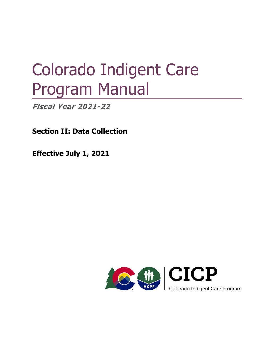# Colorado Indigent Care Program Manual

**Fiscal Year 2021-22** 

**Section II: Data Collection** 

**Effective July 1, 2021** 

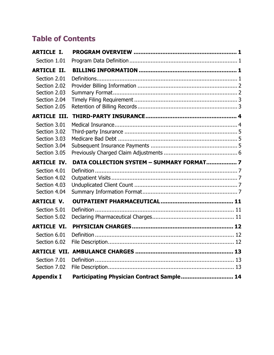# **Table of Contents**

| <b>ARTICLE I.</b>                                                                                   |                                            |  |
|-----------------------------------------------------------------------------------------------------|--------------------------------------------|--|
| Section 1.01                                                                                        |                                            |  |
| <b>ARTICLE II.</b>                                                                                  |                                            |  |
| Section 2.01<br>Section 2.02<br>Section 2.03<br>Section 2.04<br>Section 2.05<br><b>ARTICLE III.</b> |                                            |  |
| Section 3.01                                                                                        |                                            |  |
| Section 3.02<br>Section 3.03                                                                        |                                            |  |
| Section 3.04                                                                                        |                                            |  |
| Section 3.05                                                                                        |                                            |  |
| <b>ARTICLE IV.</b>                                                                                  | DATA COLLECTION SYSTEM - SUMMARY FORMAT 7  |  |
| Section 4.01                                                                                        |                                            |  |
| Section 4.02                                                                                        |                                            |  |
| Section 4.03<br>Section 4.04                                                                        |                                            |  |
| <b>ARTICLE V.</b>                                                                                   |                                            |  |
| Section 5.01                                                                                        |                                            |  |
| Section 5.02                                                                                        |                                            |  |
| <b>ARTICLE VI.</b>                                                                                  |                                            |  |
| Section 6.01                                                                                        |                                            |  |
| Section 6.02                                                                                        |                                            |  |
|                                                                                                     |                                            |  |
| Section 7.01                                                                                        |                                            |  |
| Section 7.02                                                                                        |                                            |  |
| <b>Appendix I</b>                                                                                   | Participating Physician Contract Sample 14 |  |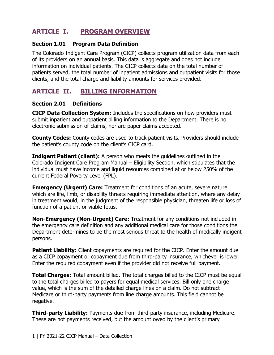# **ARTICLE I. PROGRAM OVERVIEW**

#### **Section 1.01 Program Data Definition**

The Colorado Indigent Care Program (CICP) collects program utilization data from each of its providers on an annual basis. This data is aggregate and does not include information on individual patients. The CICP collects data on the total number of patients served, the total number of inpatient admissions and outpatient visits for those clients, and the total charge and liability amounts for services provided.

## **ARTICLE II. BILLING INFORMATION**

#### **Section 2.01 Definitions**

**CICP Data Collection System:** Includes the specifications on how providers must submit inpatient and outpatient billing information to the Department. There is no electronic submission of claims, nor are paper claims accepted.

**County Codes:** County codes are used to track patient visits. Providers should include the patient's county code on the client's CICP card.

 Colorado Indigent Care Program Manual – Eligibility Section, which stipulates that the **Indigent Patient (client):** A person who meets the guidelines outlined in the individual must have income and liquid resources combined at or below 250% of the current Federal Poverty Level (FPL).

 in treatment would, in the judgment of the responsible physician, threaten life or loss of **Emergency (Urgent) Care:** Treatment for conditions of an acute, severe nature which are life, limb, or disability threats requiring immediate attention, where any delay function of a patient or viable fetus.

**Non-Emergency (Non-Urgent) Care:** Treatment for any conditions not included in the emergency care definition and any additional medical care for those conditions the Department determines to be the most serious threat to the health of medically indigent persons.

**Patient Liability:** Client copayments are required for the CICP. Enter the amount due as a CICP copayment or copayment due from third-party insurance, whichever is lower. Enter the required copayment even if the provider did not receive full payment.

 to the total charges billed to payers for equal medical services. Bill only one charge **Total Charges:** Total amount billed. The total charges billed to the CICP must be equal value, which is the sum of the detailed charge lines on a claim. Do not subtract Medicare or third-party payments from line charge amounts. This field cannot be negative.

**Third-party Liability:** Payments due from third-party insurance, including Medicare. These are not payments received, but the amount owed by the client's primary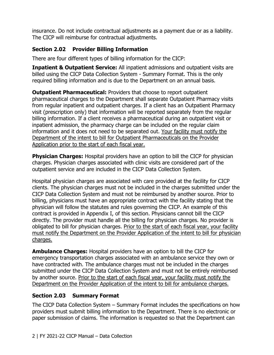insurance. Do not include contractual adjustments as a payment due or as a liability. The CICP will reimburse for contractual adjustments.

#### **Section 2.02 Provider Billing Information**

There are four different types of billing information for the CICP:

 billed using the CICP Data Collection System - Summary Format. This is the only **Inpatient & Outpatient Service:** All inpatient admissions and outpatient visits are required billing information and is due to the Department on an annual basis.

 pharmaceutical charges to the Department shall separate Outpatient Pharmacy visits Department of the intent to bill for Outpatient Pharmaceuticals on the Provider Application prior to the start of each fiscal year. **Outpatient Pharmaceutical:** Providers that choose to report outpatient from regular inpatient and outpatient charges. If a client has an Outpatient Pharmacy visit (prescription only) that information will be reported separately from the regular billing information. If a client receives a pharmaceutical during an outpatient visit or inpatient admission, the pharmacy charge can be included on the regular claim information and it does not need to be separated out. Your facility must notify the

**Physician Charges:** Hospital providers have an option to bill the CICP for physician charges. Physician charges associated with clinic visits are considered part of the outpatient service and are included in the CICP Data Collection System.

 contract is provided in Appendix I, of this section. Physicians cannot bill the CICP must notify the Department on the Provider Application of the intent to bill for physician Hospital physician charges are associated with care provided at the facility for CICP clients. The physician charges must not be included in the charges submitted under the CICP Data Collection System and must not be reimbursed by another source. Prior to billing, physicians must have an appropriate contract with the facility stating that the physician will follow the statutes and rules governing the CICP. An example of this directly. The provider must handle all the billing for physician charges. No provider is obligated to bill for physician charges. Prior to the start of each fiscal year, your facility charges.

by another source. <u>Prior to the start of each fiscal year, your facility must notify the</u> **Ambulance Charges:** Hospital providers have an option to bill the CICP for emergency transportation charges associated with an ambulance service they own or have contracted with. The ambulance charges must not be included in the charges submitted under the CICP Data Collection System and must not be entirely reimbursed Department on the Provider Application of the intent to bill for ambulance charges.

#### **Section 2.03 Summary Format**

The CICP Data Collection System – Summary Format includes the specifications on how providers must submit billing information to the Department. There is no electronic or paper submission of claims. The information is requested so that the Department can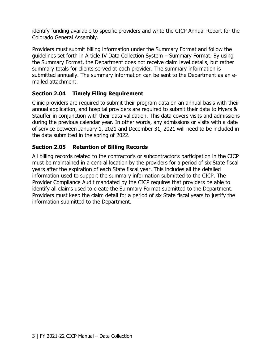identify funding available to specific providers and write the CICP Annual Report for the Colorado General Assembly.

 guidelines set forth in Article IV Data Collection System – Summary Format. By using submitted annually. The summary information can be sent to the Department as an e-Providers must submit billing information under the Summary Format and follow the the Summary Format, the Department does not receive claim level details, but rather summary totals for clients served at each provider. The summary information is mailed attachment.

#### **Section 2.04 Timely Filing Requirement**

 Clinic providers are required to submit their program data on an annual basis with their annual application, and hospital providers are required to submit their data to Myers & Stauffer in conjunction with their data validation. This data covers visits and admissions during the previous calendar year. In other words, any admissions or visits with a date of service between January 1, 2021 and December 31, 2021 will need to be included in the data submitted in the spring of 2022.

#### **Section 2.05 Retention of Billing Records**

 Provider Compliance Audit mandated by the CICP requires that providers be able to All billing records related to the contractor's or subcontractor's participation in the CICP must be maintained in a central location by the providers for a period of six State fiscal years after the expiration of each State fiscal year. This includes all the detailed information used to support the summary information submitted to the CICP. The identify all claims used to create the Summary Format submitted to the Department. Providers must keep the claim detail for a period of six State fiscal years to justify the information submitted to the Department.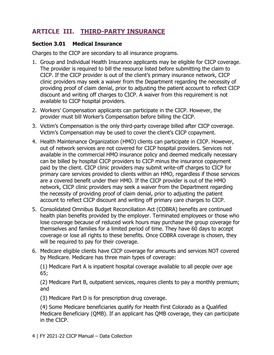# **ARTICLE III. THIRD-PARTY INSURANCE**

#### **Section 3.01 Medical Insurance**

Charges to the CICP are secondary to all insurance programs.

- 1. Group and Individual Health Insurance applicants may be eligible for CICP coverage. The provider is required to bill the resource listed before submitting the claim to CICP. If the CICP provider is out of the client's primary insurance network, CICP clinic providers may seek a waiver from the Department regarding the necessity of providing proof of claim denial, prior to adjusting the patient account to reflect CICP discount and writing off charges to CICP. A waiver from this requirement is not available to CICP hospital providers.
- 2. Workers' Compensation applicants can participate in the CICP. However, the provider must bill Worker's Compensation before billing the CICP.
- 3. Victim's Compensation is the only third-party coverage billed after CICP coverage. Victim's Compensation may be used to cover the client's CICP copayment.
- account to reflect CICP discount and writing off primary care charges to CICP. 4. Health Maintenance Organization (HMO) clients can participate in CICP. However, out of network services are not covered for CICP hospital providers. Services not available in the commercial HMO insurance policy and deemed medically necessary can be billed by hospital CICP providers to CICP minus the insurance copayment paid by the client. CICP clinic providers may submit write-off charges to CICP for primary care services provided to clients within an HMO, regardless if those services are a covered benefit under their HMO. If the CICP provider is out of the HMO network, CICP clinic providers may seek a waiver from the Department regarding the necessity of providing proof of claim denial, prior to adjusting the patient
- 5. Consolidated Omnibus Budget Reconciliation Act (COBRA) benefits are continued health plan benefits provided by the employer. Terminated employees or those who lose coverage because of reduced work hours may purchase the group coverage for themselves and families for a limited period of time. They have 60 days to accept coverage or lose all rights to these benefits. Once COBRA coverage is chosen, they will be required to pay for their coverage.
- 6. Medicare eligible clients have CICP coverage for amounts and services NOT covered by Medicare. Medicare has three main types of coverage:

(1) Medicare Part A is inpatient hospital coverage available to all people over age 65;

(2) Medicare Part B, outpatient services, requires clients to pay a monthly premium; and

(3) Medicare Part D is for prescription drug coverage.

(4) Some Medicare beneficiaries qualify for Health First Colorado as a Qualified Medicare Beneficiary (QMB). If an applicant has QMB coverage, they can participate in the CICP.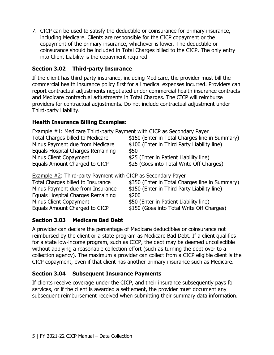7. CICP can be used to satisfy the deductible or coinsurance for primary insurance, including Medicare. Clients are responsible for the CICP copayment or the copayment of the primary insurance, whichever is lower. The deductible or coinsurance should be included in Total Charges billed to the CICP. The only entry into Client Liability is the copayment required.

#### **Section 3.02 Third-party Insurance**

If the client has third-party insurance, including Medicare, the provider must bill the commercial health insurance policy first for all medical expenses incurred. Providers can report contractual adjustments negotiated under commercial health insurance contracts and Medicare contractual adjustments in Total Charges. The CICP will reimburse providers for contractual adjustments. Do not include contractual adjustment under Third-party Liability.

#### **Health Insurance Billing Examples:**

Example #1: Medicare Third-party Payment with CICP as Secondary Payer

| Total Charges billed to Medicare  | \$150 (Enter in Total Charges line in Summary) |
|-----------------------------------|------------------------------------------------|
| Minus Payment due from Medicare   | \$100 (Enter in Third Party Liability line)    |
| Equals Hospital Charges Remaining | \$50                                           |
| Minus Client Copayment            | \$25 (Enter in Patient Liability line)         |
| Equals Amount Charged to CICP     | \$25 (Goes into Total Write Off Charges)       |

**Example**  $\#2$ **: Third-party Payment with CICP as Secondary Payer** 

| Total Charges billed to Insurance | \$350 (Enter in Total Charges line in Summary) |
|-----------------------------------|------------------------------------------------|
| Minus Payment due from Insurance  | \$150 (Enter in Third Party Liability line)    |
| Equals Hospital Charges Remaining | \$200                                          |
| Minus Client Copayment            | \$50 (Enter in Patient Liability line)         |
| Equals Amount Charged to CICP     | \$150 (Goes into Total Write Off Charges)      |
|                                   |                                                |

#### **Section 3.03 Medicare Bad Debt**

A provider can declare the percentage of Medicare deductibles or coinsurance not reimbursed by the client or a state program as Medicare Bad Debt. If a client qualifies for a state low-income program, such as CICP, the debt may be deemed uncollectible without applying a reasonable collection effort (such as turning the debt over to a collection agency). The maximum a provider can collect from a CICP eligible client is the CICP copayment, even if that client has another primary insurance such as Medicare.

#### **Section 3.04 Subsequent Insurance Payments**

 If clients receive coverage under the CICP, and their insurance subsequently pays for services, or if the client is awarded a settlement, the provider must document any subsequent reimbursement received when submitting their summary data information.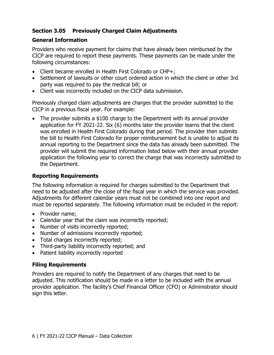#### **Section 3.05 Previously Charged Claim Adjustments**

#### **General Information**

Providers who receive payment for claims that have already been reimbursed by the CICP are required to report these payments. These payments can be made under the following circumstances:

- Client became enrolled in Health First Colorado or CHP+;
- Settlement of lawsuits or other court ordered action in which the client or other 3rd party was required to pay the medical bill; or
- Client was incorrectly included on the CICP data submission.

Previously charged claim adjustments are charges that the provider submitted to the CICP in a previous fiscal year. For example:

• The provider submits a \$100 charge to the Department with its annual provider application for FY 2021-22. Six (6) months later the provider learns that the client was enrolled in Health First Colorado during that period. The provider then submits the bill to Health First Colorado for proper reimbursement but is unable to adjust its annual reporting to the Department since the data has already been submitted. The provider will submit the required information listed below with their annual provider application the following year to correct the charge that was incorrectly submitted to the Department.

#### **Reporting Requirements**

The following information is required for charges submitted to the Department that need to be adjusted after the close of the fiscal year in which the service was provided. Adjustments for different calendar years must not be combined into one report and must be reported separately. The following information must be included in the report:

- Provider name;
- Calendar year that the claim was incorrectly reported;
- Number of visits incorrectly reported;
- Number of admissions incorrectly reported;
- Total charges incorrectly reported:
- Third-party liability incorrectly reported; and
- Patient liability incorrectly reported

#### **Filing Requirements**

Providers are required to notify the Department of any charges that need to be adjusted. This notification should be made in a letter to be included with the annual provider application. The facility's Chief Financial Officer (CFO) or Administrator should sign this letter.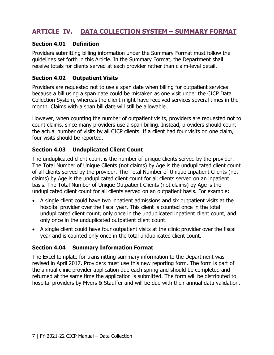# **ARTICLE IV. DATA COLLECTION SYSTEM – SUMMARY FORMAT**

#### **Section 4.01 Definition**

Providers submitting billing information under the Summary Format must follow the guidelines set forth in this Article. In the Summary Format, the Department shall receive totals for clients served at each provider rather than claim-level detail.

#### **Section 4.02 Outpatient Visits**

 because a bill using a span date could be mistaken as one visit under the CICP Data Providers are requested not to use a span date when billing for outpatient services Collection System, whereas the client might have received services several times in the month. Claims with a span bill date will still be allowable.

However, when counting the number of outpatient visits, providers are requested not to count claims, since many providers use a span billing. Instead, providers should count the actual number of visits by all CICP clients. If a client had four visits on one claim, four visits should be reported.

#### **Section 4.03 Unduplicated Client Count**

 basis. The Total Number of Unique Outpatient Clients (not claims) by Age is the The unduplicated client count is the number of unique clients served by the provider. The Total Number of Unique Clients (not claims) by Age is the unduplicated client count of all clients served by the provider. The Total Number of Unique Inpatient Clients (not claims) by Age is the unduplicated client count for all clients served on an inpatient unduplicated client count for all clients served on an outpatient basis. For example:

- unduplicated client count, only once in the unduplicated inpatient client count, and A single client could have two inpatient admissions and six outpatient visits at the hospital provider over the fiscal year. This client is counted once in the total only once in the unduplicated outpatient client count.
- A single client could have four outpatient visits at the clinic provider over the fiscal year and is counted only once in the total unduplicated client count.

#### **Section 4.04 Summary Information Format**

 revised in April 2017. Providers must use this new reporting form. The form is part of The Excel template for transmitting summary information to the Department was the annual clinic provider application due each spring and should be completed and returned at the same time the application is submitted. The form will be distributed to hospital providers by Myers & Stauffer and will be due with their annual data validation.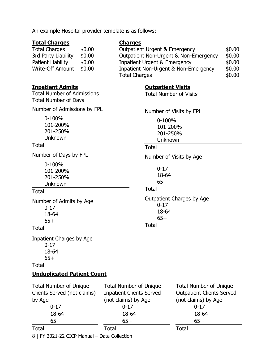|  |  |  |  | An example Hospital provider template is as follows: |  |  |  |
|--|--|--|--|------------------------------------------------------|--|--|--|
|--|--|--|--|------------------------------------------------------|--|--|--|

#### **Total Charges**

Total Charges \$0.00 3rd Party Liability \$0.00 Patient Liability \$0.00 Write-Off Amount \$0.00

# **Charges**

| <b>Outpatient Urgent &amp; Emergency</b> | \$0.00 |
|------------------------------------------|--------|
| Outpatient Non-Urgent & Non-Emergency    | \$0.00 |
| <b>Inpatient Urgent &amp; Emergency</b>  | \$0.00 |
| Inpatient Non-Urgent & Non-Emergency     | \$0.00 |
| <b>Total Charges</b>                     | \$0.00 |

Number of Visits by FPL

**Outpatient Visits**  Total Number of Visits

> 0-100% 101-200% 201-250% Unknown

0-17 18-64 65+

0-17 18-64 65+

Total

Total

**Total** 

Number of Visits by Age

Outpatient Charges by Age

#### **Inpatient Admits**

Total Number of Admissions Total Number of Days

Number of Admissions by FPL

0-100% 101-200% 201-250% Unknown

#### **Total**

Number of Days by FPL

0-100% 101-200% 201-250% Unknown

#### Total

Number of Admits by Age 0-17 18-64 65+

#### **Total**

Inpatient Charges by Age 0-17 18-64 65+

#### Total

#### **Unduplicated Patient Count**

| <b>Total Number of Unique</b> | <b>Total Number of Unique</b>   | <b>Total Number of Unique</b>    |  |
|-------------------------------|---------------------------------|----------------------------------|--|
| Clients Served (not claims)   | <b>Inpatient Clients Served</b> | <b>Outpatient Clients Served</b> |  |
| by Age                        | (not claims) by Age             | (not claims) by Age              |  |
| $0 - 17$                      | $0 - 17$                        | $0 - 17$                         |  |
| 18-64                         | 18-64                           | 18-64                            |  |
| $65+$                         | $65+$                           | $65+$                            |  |
| Total                         | Total                           | Total                            |  |

8 | FY 2021-22 CICP Manual – Data Collection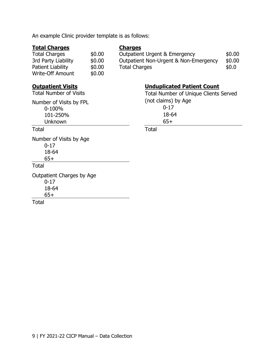| <b>Total Charges</b><br><b>Total Charges</b><br>3rd Party Liability<br>Patient Liability<br><b>Write-Off Amount</b>          | \$0.00<br>\$0.00<br>\$0.00<br>\$0.00 | <b>Charges</b><br><b>Outpatient Urgent &amp; Emergency</b><br>\$0.00<br>Outpatient Non-Urgent & Non-Emergency<br>\$0.00<br><b>Total Charges</b><br>\$0.0\$ |
|------------------------------------------------------------------------------------------------------------------------------|--------------------------------------|------------------------------------------------------------------------------------------------------------------------------------------------------------|
| <b>Outpatient Visits</b><br><b>Total Number of Visits</b><br>Number of Visits by FPL<br>0-100%<br>101-250%<br><b>Unknown</b> |                                      | <b>Unduplicated Patient Count</b><br><b>Total Number of Unique Clients Served</b><br>(not claims) by Age<br>$0 - 17$<br>18-64<br>$65+$                     |
| <b>Total</b>                                                                                                                 |                                      | Total                                                                                                                                                      |
| Number of Visits by Age<br>$0 - 17$<br>18-64<br>$65+$                                                                        |                                      |                                                                                                                                                            |
| Total                                                                                                                        |                                      |                                                                                                                                                            |
| Outpatient Charges by Age<br>$0 - 17$<br>18-64<br>$65+$<br>Total                                                             |                                      |                                                                                                                                                            |
|                                                                                                                              |                                      |                                                                                                                                                            |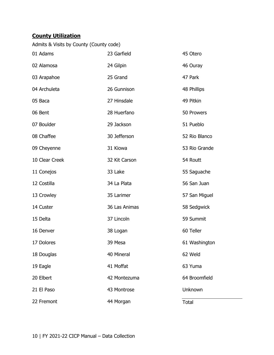### **County Utilization**

| Admits & Visits by County (County code) |               |               |
|-----------------------------------------|---------------|---------------|
| 01 Adams                                | 23 Garfield   | 45 Otero      |
| 02 Alamosa                              | 24 Gilpin     | 46 Ouray      |
| 03 Arapahoe                             | 25 Grand      | 47 Park       |
| 04 Archuleta                            | 26 Gunnison   | 48 Phillips   |
| 05 Baca                                 | 27 Hinsdale   | 49 Pitkin     |
| 06 Bent                                 | 28 Huerfano   | 50 Prowers    |
| 07 Boulder                              | 29 Jackson    | 51 Pueblo     |
| 08 Chaffee                              | 30 Jefferson  | 52 Rio Blanco |
| 09 Cheyenne                             | 31 Kiowa      | 53 Rio Grande |
| 10 Clear Creek                          | 32 Kit Carson | 54 Routt      |
| 11 Conejos                              | 33 Lake       | 55 Saguache   |
| 12 Costilla                             | 34 La Plata   | 56 San Juan   |
| 13 Crowley                              | 35 Larimer    | 57 San Miguel |
| 14 Custer                               | 36 Las Animas | 58 Sedgwick   |
| 15 Delta                                | 37 Lincoln    | 59 Summit     |
| 16 Denver                               | 38 Logan      | 60 Teller     |
| 17 Dolores                              | 39 Mesa       | 61 Washington |
| 18 Douglas                              | 40 Mineral    | 62 Weld       |
| 19 Eagle                                | 41 Moffat     | 63 Yuma       |
| 20 Elbert                               | 42 Montezuma  | 64 Broomfield |
| 21 El Paso                              | 43 Montrose   | Unknown       |
| 22 Fremont                              | 44 Morgan     | <b>Total</b>  |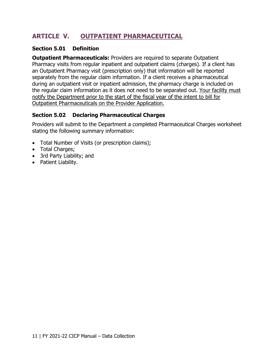# **ARTICLE V. OUTPATIENT PHARMACEUTICAL**

#### **Section 5.01 Definition**

**Outpatient Pharmaceuticals:** Providers are required to separate Outpatient Pharmacy visits from regular inpatient and outpatient claims (charges). If a client has an Outpatient Pharmacy visit (prescription only) that information will be reported separately from the regular claim information. If a client receives a pharmaceutical during an outpatient visit or inpatient admission, the pharmacy charge is included on the regular claim information as it does not need to be separated out. Your facility must notify the Department prior to the start of the fiscal year of the intent to bill for Outpatient Pharmaceuticals on the Provider Application.

#### **Section 5.02 Declaring Pharmaceutical Charges**

Providers will submit to the Department a completed Pharmaceutical Charges worksheet stating the following summary information:

- Total Number of Visits (or prescription claims);
- Total Charges;
- 3rd Party Liability; and
- Patient Liability.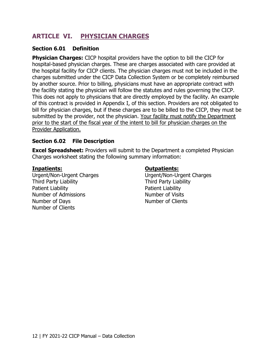# **ARTICLE VI. PHYSICIAN CHARGES**

#### **Section 6.01 Definition**

 by another source. Prior to billing, physicians must have an appropriate contract with **Physician Charges:** CICP hospital providers have the option to bill the CICP for hospital-based physician charges. These are charges associated with care provided at the hospital facility for CICP clients. The physician charges must not be included in the charges submitted under the CICP Data Collection System or be completely reimbursed the facility stating the physician will follow the statutes and rules governing the CICP. This does not apply to physicians that are directly employed by the facility. An example of this contract is provided in Appendix I, of this section. Providers are not obligated to bill for physician charges, but if these charges are to be billed to the CICP, they must be submitted by the provider, not the physician. Your facility must notify the Department prior to the start of the fiscal year of the intent to bill for physician charges on the Provider Application.

#### **Section 6.02 File Description**

**Excel Spreadsheet:** Providers will submit to the Department a completed Physician Charges worksheet stating the following summary information:

Urgent/Non-Urgent Charges Urgent/Non-Urgent Charges Third Party Liability Third Party Liability Patient Liability **Patient Liability** Number of Admissions Number of Visits Number of Days Number of Clients Number of Clients

#### **Inpatients: Outpatients:**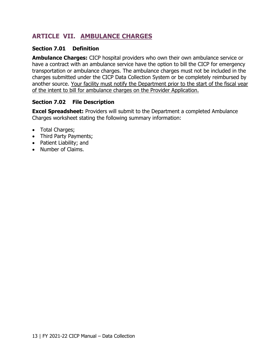# **ARTICLE VII. AMBULANCE CHARGES**

#### **Section 7.01 Definition**

 transportation or ambulance charges. The ambulance charges must not be included in the **Ambulance Charges:** CICP hospital providers who own their own ambulance service or have a contract with an ambulance service have the option to bill the CICP for emergency charges submitted under the CICP Data Collection System or be completely reimbursed by another source. Your facility must notify the Department prior to the start of the fiscal year of the intent to bill for ambulance charges on the Provider Application.

#### **Section 7.02 File Description**

**Excel Spreadsheet:** Providers will submit to the Department a completed Ambulance Charges worksheet stating the following summary information:

- Total Charges;
- Third Party Payments;
- Patient Liability; and
- Number of Claims.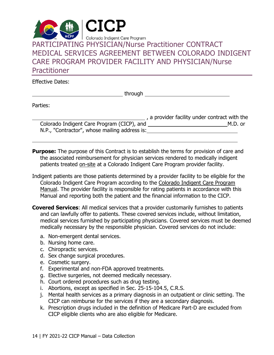

Effective Dates:

through

Parties:

 $\overline{a}$ 

 $\overline{a}$ 

|                                               | , a provider facility under contract with the |
|-----------------------------------------------|-----------------------------------------------|
| Colorado Indigent Care Program (CICP), and    | M.D. or                                       |
| N.P., "Contractor", whose mailing address is: |                                               |

patients treated on-site at a Colorado Indigent Care Program provider facility. **Purpose:** The purpose of this Contract is to establish the terms for provision of care and the associated reimbursement for physician services rendered to medically indigent

- Manual and reporting both the patient and the financial information to the CICP. Indigent patients are those patients determined by a provider facility to be eligible for the Colorado Indigent Care Program according to the Colorado Indigent Care Program Manual. The provider facility is responsible for rating patients in accordance with this
- **Covered Services**: All medical services that a provider customarily furnishes to patients and can lawfully offer to patients. These covered services include, without limitation, medical services furnished by participating physicians. Covered services must be deemed medically necessary by the responsible physician. Covered services do not include:
	- a. Non-emergent dental services.
	- b. Nursing home care.
	- c. Chiropractic services.
	- d. Sex change surgical procedures.
	- e. Cosmetic surgery.
	- f. Experimental and non-FDA approved treatments.
	- g. Elective surgeries, not deemed medically necessary.
	- h. Court ordered procedures such as drug testing.
	- i. Abortions, except as specified in Sec. 25-15-104.5, C.R.S.
	- j. Mental health services as a primary diagnosis in an outpatient or clinic setting. The CICP can reimburse for the services if they are a secondary diagnosis.
	- k. Prescription drugs included in the definition of Medicare Part-D are excluded from CICP eligible clients who are also eligible for Medicare.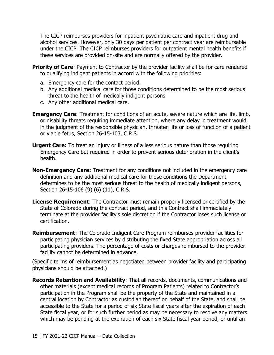The CICP reimburses providers for inpatient psychiatric care and inpatient drug and alcohol services. However, only 30 days per patient per contract year are reimbursable under the CICP. The CICP reimburses providers for outpatient mental health benefits if these services are provided on-site and are normally offered by the provider.

- **Priority of Care:** Payment to Contractor by the provider facility shall be for care rendered to qualifying indigent patients in accord with the following priorities:
	- a. Emergency care for the contact period.
	- b. Any additional medical care for those conditions determined to be the most serious threat to the health of medically indigent persons.
	- c. Any other additional medical care.
- or disability threats requiring immediate attention, where any delay in treatment would, in the judgment of the responsible physician, threaten life or loss of function of a patient **Emergency Care:** Treatment for conditions of an acute, severe nature which are life, limb, or viable fetus, Section 26-15-103, C.R.S.
- **Urgent Care:** To treat an injury or illness of a less serious nature than those requiring Emergency Care but required in order to prevent serious deterioration in the client's health.
- **Non-Emergency Care:** Treatment for any conditions not included in the emergency care definition and any additional medical care for those conditions the Department determines to be the most serious threat to the health of medically indigent persons, Section 26-15-106 (9) (6) (11), C.R.S.
- **License Requirement**: The Contractor must remain properly licensed or certified by the State of Colorado during the contract period, and this Contract shall immediately terminate at the provider facility's sole discretion if the Contractor loses such license or certification.
- **Reimbursement**: The Colorado Indigent Care Program reimburses provider facilities for participating physician services by distributing the fixed State appropriation across all participating providers. The percentage of costs or charges reimbursed to the provider facility cannot be determined in advance.

(Specific terms of reimbursement as negotiated between provider facility and participating physicians should be attached.)

 central location by Contractor as custodian thereof on behalf of the State, and shall be **Records Retention and Availability**: That all records, documents, communications and other materials (except medical records of Program Patients) related to Contractor's participation in the Program shall be the property of the State and maintained in a accessible to the State for a period of six State fiscal years after the expiration of each State fiscal year, or for such further period as may be necessary to resolve any matters which may be pending at the expiration of each six State fiscal year period, or until an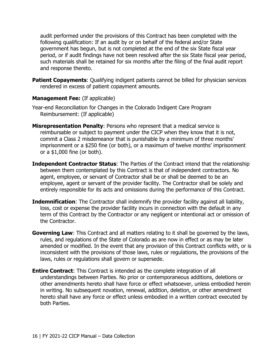following qualification: If an audit by or on behalf of the federal and/or State audit performed under the provisions of this Contract has been completed with the government has begun, but is not completed at the end of the six State fiscal year period, or if audit findings have not been resolved after the six State fiscal year period, such materials shall be retained for six months after the filing of the final audit report and response thereto.

**Patient Copayments:** Qualifying indigent patients cannot be billed for physician services rendered in excess of patient copayment amounts.

#### **Management Fee:** (If applicable)

- Year-end Reconciliation for Changes in the Colorado Indigent Care Program Reimbursement: (If applicable)
- **Misrepresentation Penalty**: Persons who represent that a medical service is reimbursable or subject to payment under the CICP when they know that it is not, commit a Class 2 misdemeanor that is punishable by a minimum of three months' imprisonment or a \$250 fine (or both), or a maximum of twelve months' imprisonment or a \$1,000 fine (or both).
- **Independent Contractor Status**: The Parties of the Contract intend that the relationship between them contemplated by this Contract is that of independent contractors. No agent, employee, or servant of Contractor shall be or shall be deemed to be an employee, agent or servant of the provider facility. The Contractor shall be solely and entirely responsible for its acts and omissions during the performance of this Contract.
- **Indemnification**: The Contractor shall indemnify the provider facility against all liability, loss, cost or expense the provider facility incurs in connection with the default in any term of this Contract by the Contractor or any negligent or intentional act or omission of the Contractor.
- amended or modified. In the event that any provision of this Contract conflicts with, or is **Governing Law**: This Contract and all matters relating to it shall be governed by the laws, rules, and regulations of the State of Colorado as are now in effect or as may be later inconsistent with the provisions of those laws, rules or regulations, the provisions of the laws, rules or regulations shall govern or supersede.
- **Entire Contract**: This Contract is intended as the complete integration of all understandings between Parties. No prior or contemporaneous additions, deletions or other amendments hereto shall have force or effect whatsoever, unless embodied herein in writing. No subsequent novation, renewal, addition, deletion, or other amendment hereto shall have any force or effect unless embodied in a written contract executed by both Parties.